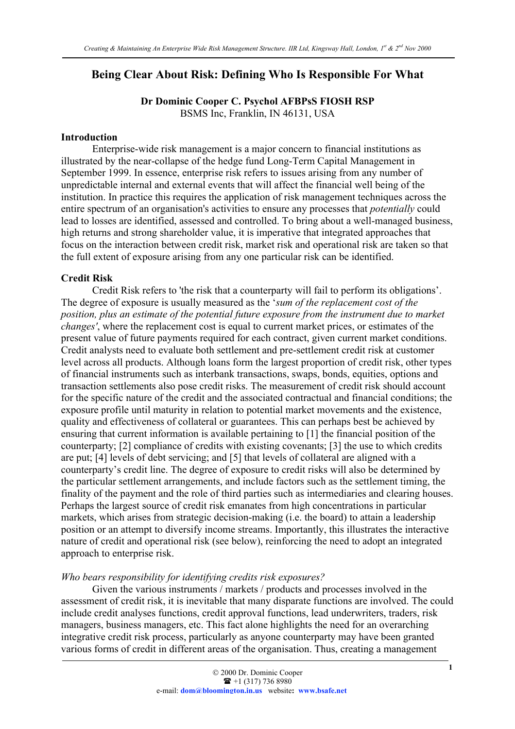# Being Clear About Risk: Defining Who Is Responsible For What

Dr Dominic Cooper C. Psychol AFBPsS FIOSH RSP BSMS Inc, Franklin, IN 46131, USA

#### Introduction

Enterprise-wide risk management is a major concern to financial institutions as illustrated by the near-collapse of the hedge fund Long-Term Capital Management in September 1999. In essence, enterprise risk refers to issues arising from any number of unpredictable internal and external events that will affect the financial well being of the institution. In practice this requires the application of risk management techniques across the entire spectrum of an organisation's activities to ensure any processes that *potentially* could lead to losses are identified, assessed and controlled. To bring about a well-managed business, high returns and strong shareholder value, it is imperative that integrated approaches that focus on the interaction between credit risk, market risk and operational risk are taken so that the full extent of exposure arising from any one particular risk can be identified.

### Credit Risk

Credit Risk refers to 'the risk that a counterparty will fail to perform its obligations'. The degree of exposure is usually measured as the '*sum of the replacement cost of the position, plus an estimate of the potential future exposure from the instrument due to market changes'*, where the replacement cost is equal to current market prices, or estimates of the present value of future payments required for each contract, given current market conditions. Credit analysts need to evaluate both settlement and pre-settlement credit risk at customer level across all products. Although loans form the largest proportion of credit risk, other types of financial instruments such as interbank transactions, swaps, bonds, equities, options and transaction settlements also pose credit risks. The measurement of credit risk should account for the specific nature of the credit and the associated contractual and financial conditions; the exposure profile until maturity in relation to potential market movements and the existence, quality and effectiveness of collateral or guarantees. This can perhaps best be achieved by ensuring that current information is available pertaining to [1] the financial position of the counterparty; [2] compliance of credits with existing covenants; [3] the use to which credits are put; [4] levels of debt servicing; and [5] that levels of collateral are aligned with a counterparty's credit line. The degree of exposure to credit risks will also be determined by the particular settlement arrangements, and include factors such as the settlement timing, the finality of the payment and the role of third parties such as intermediaries and clearing houses. Perhaps the largest source of credit risk emanates from high concentrations in particular markets, which arises from strategic decision-making (i.e. the board) to attain a leadership position or an attempt to diversify income streams. Importantly, this illustrates the interactive nature of credit and operational risk (see below), reinforcing the need to adopt an integrated approach to enterprise risk.

#### *Who bears responsibility for identifying credits risk exposures?*

Given the various instruments / markets / products and processes involved in the assessment of credit risk, it is inevitable that many disparate functions are involved. The could include credit analyses functions, credit approval functions, lead underwriters, traders, risk managers, business managers, etc. This fact alone highlights the need for an overarching integrative credit risk process, particularly as anyone counterparty may have been granted various forms of credit in different areas of the organisation. Thus, creating a management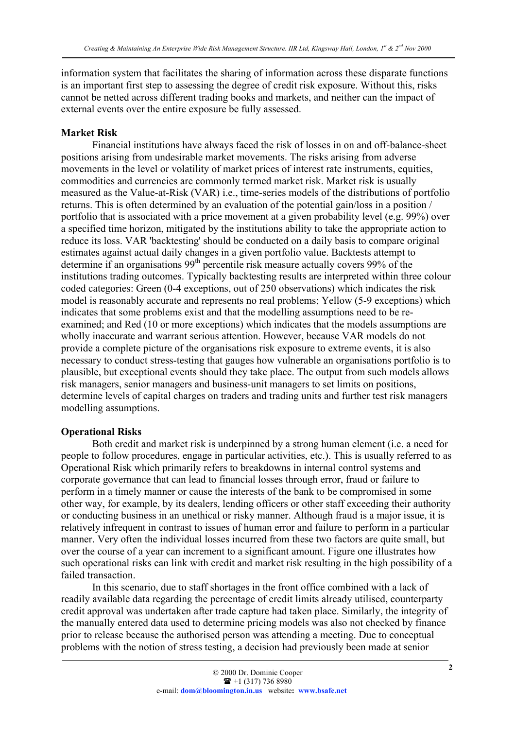information system that facilitates the sharing of information across these disparate functions is an important first step to assessing the degree of credit risk exposure. Without this, risks cannot be netted across different trading books and markets, and neither can the impact of external events over the entire exposure be fully assessed.

#### Market Risk

Financial institutions have always faced the risk of losses in on and off-balance-sheet positions arising from undesirable market movements. The risks arising from adverse movements in the level or volatility of market prices of interest rate instruments, equities, commodities and currencies are commonly termed market risk. Market risk is usually measured as the Value-at-Risk (VAR) i.e., time-series models of the distributions of portfolio returns. This is often determined by an evaluation of the potential gain/loss in a position / portfolio that is associated with a price movement at a given probability level (e.g. 99%) over a specified time horizon, mitigated by the institutions ability to take the appropriate action to reduce its loss. VAR 'backtesting' should be conducted on a daily basis to compare original estimates against actual daily changes in a given portfolio value. Backtests attempt to determine if an organisations 99<sup>th</sup> percentile risk measure actually covers 99% of the institutions trading outcomes. Typically backtesting results are interpreted within three colour coded categories: Green (0-4 exceptions, out of 250 observations) which indicates the risk model is reasonably accurate and represents no real problems; Yellow (5-9 exceptions) which indicates that some problems exist and that the modelling assumptions need to be reexamined; and Red (10 or more exceptions) which indicates that the models assumptions are wholly inaccurate and warrant serious attention. However, because VAR models do not provide a complete picture of the organisations risk exposure to extreme events, it is also necessary to conduct stress-testing that gauges how vulnerable an organisations portfolio is to plausible, but exceptional events should they take place. The output from such models allows risk managers, senior managers and business-unit managers to set limits on positions, determine levels of capital charges on traders and trading units and further test risk managers modelling assumptions.

#### Operational Risks

Both credit and market risk is underpinned by a strong human element (i.e. a need for people to follow procedures, engage in particular activities, etc.). This is usually referred to as Operational Risk which primarily refers to breakdowns in internal control systems and corporate governance that can lead to financial losses through error, fraud or failure to perform in a timely manner or cause the interests of the bank to be compromised in some other way, for example, by its dealers, lending officers or other staff exceeding their authority or conducting business in an unethical or risky manner. Although fraud is a major issue, it is relatively infrequent in contrast to issues of human error and failure to perform in a particular manner. Very often the individual losses incurred from these two factors are quite small, but over the course of a year can increment to a significant amount. Figure one illustrates how such operational risks can link with credit and market risk resulting in the high possibility of a failed transaction.

In this scenario, due to staff shortages in the front office combined with a lack of readily available data regarding the percentage of credit limits already utilised, counterparty credit approval was undertaken after trade capture had taken place. Similarly, the integrity of the manually entered data used to determine pricing models was also not checked by finance prior to release because the authorised person was attending a meeting. Due to conceptual problems with the notion of stress testing, a decision had previously been made at senior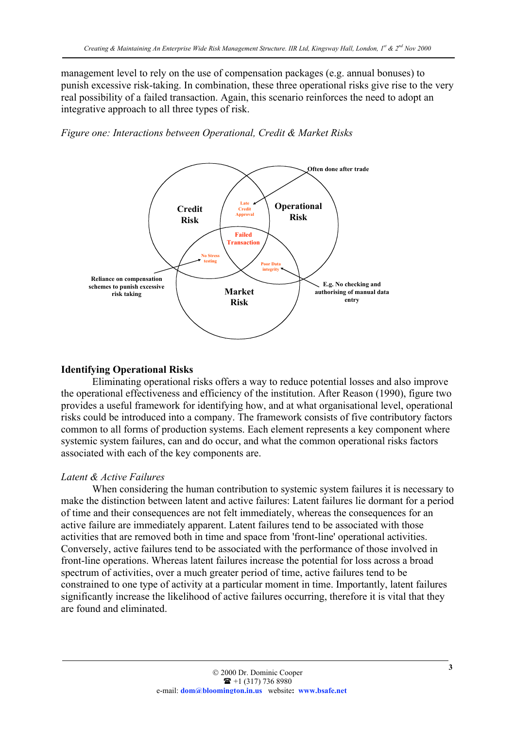management level to rely on the use of compensation packages (e.g. annual bonuses) to punish excessive risk-taking. In combination, these three operational risks give rise to the very real possibility of a failed transaction. Again, this scenario reinforces the need to adopt an integrative approach to all three types of risk.





#### Identifying Operational Risks

Eliminating operational risks offers a way to reduce potential losses and also improve the operational effectiveness and efficiency of the institution. After Reason (1990), figure two provides a useful framework for identifying how, and at what organisational level, operational risks could be introduced into a company. The framework consists of five contributory factors common to all forms of production systems. Each element represents a key component where systemic system failures, can and do occur, and what the common operational risks factors associated with each of the key components are.

#### *Latent & Active Failures*

When considering the human contribution to systemic system failures it is necessary to make the distinction between latent and active failures: Latent failures lie dormant for a period of time and their consequences are not felt immediately, whereas the consequences for an active failure are immediately apparent. Latent failures tend to be associated with those activities that are removed both in time and space from 'front-line' operational activities. Conversely, active failures tend to be associated with the performance of those involved in front-line operations. Whereas latent failures increase the potential for loss across a broad spectrum of activities, over a much greater period of time, active failures tend to be constrained to one type of activity at a particular moment in time. Importantly, latent failures significantly increase the likelihood of active failures occurring, therefore it is vital that they are found and eliminated.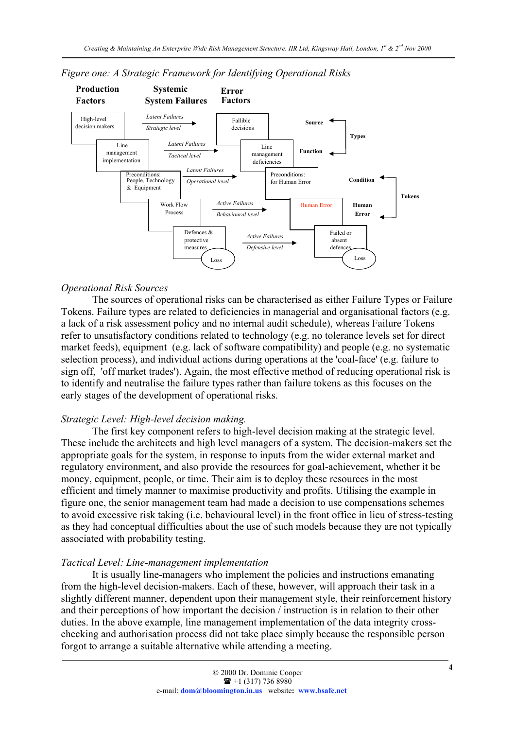

*Figure one: A Strategic Framework for Identifying Operational Risks*

#### *Operational Risk Sources*

The sources of operational risks can be characterised as either Failure Types or Failure Tokens. Failure types are related to deficiencies in managerial and organisational factors (e.g. a lack of a risk assessment policy and no internal audit schedule), whereas Failure Tokens refer to unsatisfactory conditions related to technology (e.g. no tolerance levels set for direct market feeds), equipment (e.g. lack of software compatibility) and people (e.g. no systematic selection process), and individual actions during operations at the 'coal-face' (e.g. failure to sign off, 'off market trades'). Again, the most effective method of reducing operational risk is to identify and neutralise the failure types rather than failure tokens as this focuses on the early stages of the development of operational risks.

#### *Strategic Level: High-level decision making.*

The first key component refers to high-level decision making at the strategic level. These include the architects and high level managers of a system. The decision-makers set the appropriate goals for the system, in response to inputs from the wider external market and regulatory environment, and also provide the resources for goal-achievement, whether it be money, equipment, people, or time. Their aim is to deploy these resources in the most efficient and timely manner to maximise productivity and profits. Utilising the example in figure one, the senior management team had made a decision to use compensations schemes to avoid excessive risk taking (i.e. behavioural level) in the front office in lieu of stress-testing as they had conceptual difficulties about the use of such models because they are not typically associated with probability testing.

#### *Tactical Level: Line-management implementation*

It is usually line-managers who implement the policies and instructions emanating from the high-level decision-makers. Each of these, however, will approach their task in a slightly different manner, dependent upon their management style, their reinforcement history and their perceptions of how important the decision / instruction is in relation to their other duties. In the above example, line management implementation of the data integrity crosschecking and authorisation process did not take place simply because the responsible person forgot to arrange a suitable alternative while attending a meeting.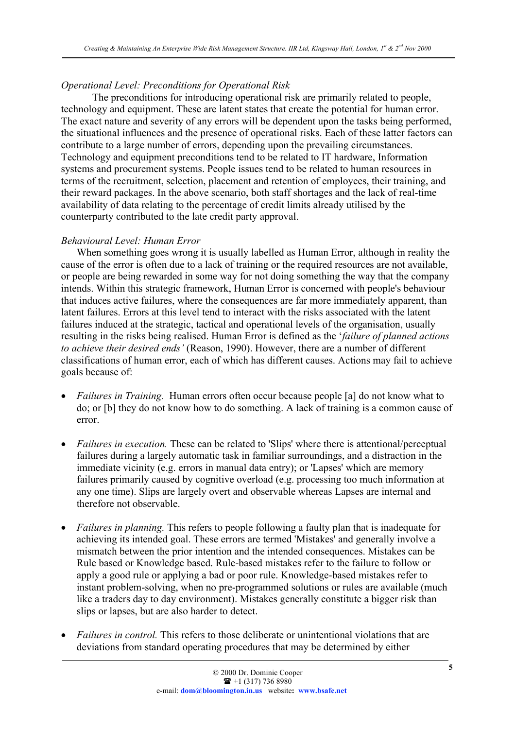### *Operational Level: Preconditions for Operational Risk*

The preconditions for introducing operational risk are primarily related to people, technology and equipment. These are latent states that create the potential for human error. The exact nature and severity of any errors will be dependent upon the tasks being performed, the situational influences and the presence of operational risks. Each of these latter factors can contribute to a large number of errors, depending upon the prevailing circumstances. Technology and equipment preconditions tend to be related to IT hardware, Information systems and procurement systems. People issues tend to be related to human resources in terms of the recruitment, selection, placement and retention of employees, their training, and their reward packages. In the above scenario, both staff shortages and the lack of real-time availability of data relating to the percentage of credit limits already utilised by the counterparty contributed to the late credit party approval.

#### *Behavioural Level: Human Error*

When something goes wrong it is usually labelled as Human Error, although in reality the cause of the error is often due to a lack of training or the required resources are not available, or people are being rewarded in some way for not doing something the way that the company intends. Within this strategic framework, Human Error is concerned with people's behaviour that induces active failures, where the consequences are far more immediately apparent, than latent failures. Errors at this level tend to interact with the risks associated with the latent failures induced at the strategic, tactical and operational levels of the organisation, usually resulting in the risks being realised. Human Error is defined as the '*failure of planned actions to achieve their desired ends'* (Reason, 1990). However, there are a number of different classifications of human error, each of which has different causes. Actions may fail to achieve goals because of:

- *Failures in Training.* Human errors often occur because people [a] do not know what to do; or [b] they do not know how to do something. A lack of training is a common cause of error.
- *Failures in execution.* These can be related to 'Slips' where there is attentional/perceptual failures during a largely automatic task in familiar surroundings, and a distraction in the immediate vicinity (e.g. errors in manual data entry); or 'Lapses' which are memory failures primarily caused by cognitive overload (e.g. processing too much information at any one time). Slips are largely overt and observable whereas Lapses are internal and therefore not observable.
- *Failures in planning.* This refers to people following a faulty plan that is inadequate for achieving its intended goal. These errors are termed 'Mistakes' and generally involve a mismatch between the prior intention and the intended consequences. Mistakes can be Rule based or Knowledge based. Rule-based mistakes refer to the failure to follow or apply a good rule or applying a bad or poor rule. Knowledge-based mistakes refer to instant problem-solving, when no pre-programmed solutions or rules are available (much like a traders day to day environment). Mistakes generally constitute a bigger risk than slips or lapses, but are also harder to detect.
- *Failures in control.* This refers to those deliberate or unintentional violations that are deviations from standard operating procedures that may be determined by either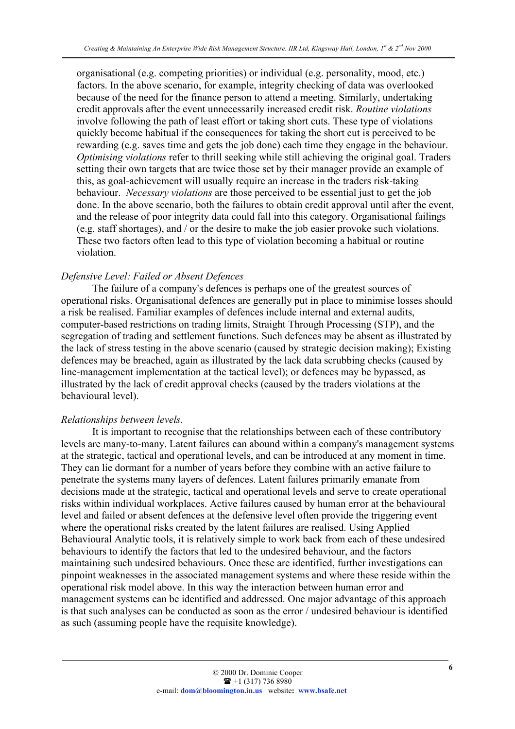organisational (e.g. competing priorities) or individual (e.g. personality, mood, etc.) factors. In the above scenario, for example, integrity checking of data was overlooked because of the need for the finance person to attend a meeting. Similarly, undertaking credit approvals after the event unnecessarily increased credit risk. *Routine violations* involve following the path of least effort or taking short cuts. These type of violations quickly become habitual if the consequences for taking the short cut is perceived to be rewarding (e.g. saves time and gets the job done) each time they engage in the behaviour. *Optimising violations* refer to thrill seeking while still achieving the original goal. Traders setting their own targets that are twice those set by their manager provide an example of this, as goal-achievement will usually require an increase in the traders risk-taking behaviour. *Necessary violations* are those perceived to be essential just to get the job done. In the above scenario, both the failures to obtain credit approval until after the event, and the release of poor integrity data could fall into this category. Organisational failings (e.g. staff shortages), and / or the desire to make the job easier provoke such violations. These two factors often lead to this type of violation becoming a habitual or routine violation.

### *Defensive Level: Failed or Absent Defences*

The failure of a company's defences is perhaps one of the greatest sources of operational risks. Organisational defences are generally put in place to minimise losses should a risk be realised. Familiar examples of defences include internal and external audits, computer-based restrictions on trading limits, Straight Through Processing (STP), and the segregation of trading and settlement functions. Such defences may be absent as illustrated by the lack of stress testing in the above scenario (caused by strategic decision making); Existing defences may be breached, again as illustrated by the lack data scrubbing checks (caused by line-management implementation at the tactical level); or defences may be bypassed, as illustrated by the lack of credit approval checks (caused by the traders violations at the behavioural level).

#### *Relationships between levels.*

It is important to recognise that the relationships between each of these contributory levels are many-to-many. Latent failures can abound within a company's management systems at the strategic, tactical and operational levels, and can be introduced at any moment in time. They can lie dormant for a number of years before they combine with an active failure to penetrate the systems many layers of defences. Latent failures primarily emanate from decisions made at the strategic, tactical and operational levels and serve to create operational risks within individual workplaces. Active failures caused by human error at the behavioural level and failed or absent defences at the defensive level often provide the triggering event where the operational risks created by the latent failures are realised. Using Applied Behavioural Analytic tools, it is relatively simple to work back from each of these undesired behaviours to identify the factors that led to the undesired behaviour, and the factors maintaining such undesired behaviours. Once these are identified, further investigations can pinpoint weaknesses in the associated management systems and where these reside within the operational risk model above. In this way the interaction between human error and management systems can be identified and addressed. One major advantage of this approach is that such analyses can be conducted as soon as the error / undesired behaviour is identified as such (assuming people have the requisite knowledge).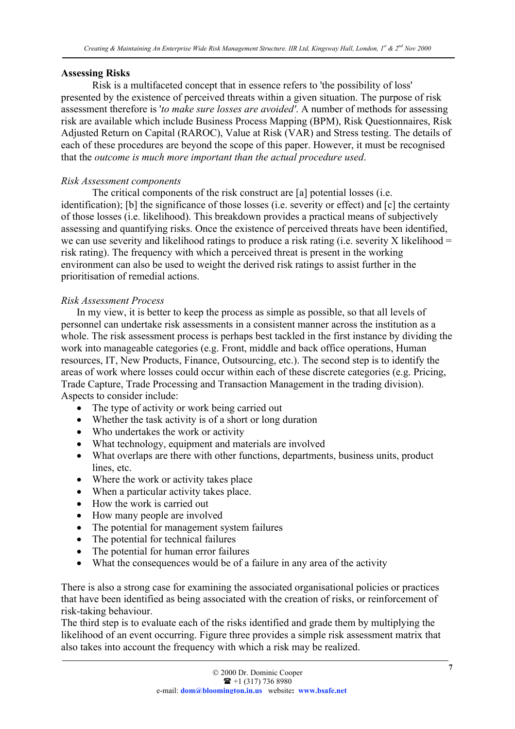#### Assessing Risks

Risk is a multifaceted concept that in essence refers to 'the possibility of loss' presented by the existence of perceived threats within a given situation. The purpose of risk assessment therefore is '*to make sure losses are avoided'*. A number of methods for assessing risk are available which include Business Process Mapping (BPM), Risk Questionnaires, Risk Adjusted Return on Capital (RAROC), Value at Risk (VAR) and Stress testing. The details of each of these procedures are beyond the scope of this paper. However, it must be recognised that the *outcome is much more important than the actual procedure used*.

### *Risk Assessment components*

The critical components of the risk construct are [a] potential losses (i.e. identification); [b] the significance of those losses (i.e. severity or effect) and [c] the certainty of those losses (i.e. likelihood). This breakdown provides a practical means of subjectively assessing and quantifying risks. Once the existence of perceived threats have been identified, we can use severity and likelihood ratings to produce a risk rating (i.e. severity X likelihood  $=$ risk rating). The frequency with which a perceived threat is present in the working environment can also be used to weight the derived risk ratings to assist further in the prioritisation of remedial actions.

### *Risk Assessment Process*

In my view, it is better to keep the process as simple as possible, so that all levels of personnel can undertake risk assessments in a consistent manner across the institution as a whole. The risk assessment process is perhaps best tackled in the first instance by dividing the work into manageable categories (e.g. Front, middle and back office operations, Human resources, IT, New Products, Finance, Outsourcing, etc.). The second step is to identify the areas of work where losses could occur within each of these discrete categories (e.g. Pricing, Trade Capture, Trade Processing and Transaction Management in the trading division). Aspects to consider include:

- The type of activity or work being carried out
- Whether the task activity is of a short or long duration
- Who undertakes the work or activity
- What technology, equipment and materials are involved
- What overlaps are there with other functions, departments, business units, product lines, etc.
- Where the work or activity takes place
- When a particular activity takes place.
- How the work is carried out
- How many people are involved
- The potential for management system failures
- The potential for technical failures
- The potential for human error failures
- What the consequences would be of a failure in any area of the activity

There is also a strong case for examining the associated organisational policies or practices that have been identified as being associated with the creation of risks, or reinforcement of risk-taking behaviour.

The third step is to evaluate each of the risks identified and grade them by multiplying the likelihood of an event occurring. Figure three provides a simple risk assessment matrix that also takes into account the frequency with which a risk may be realized.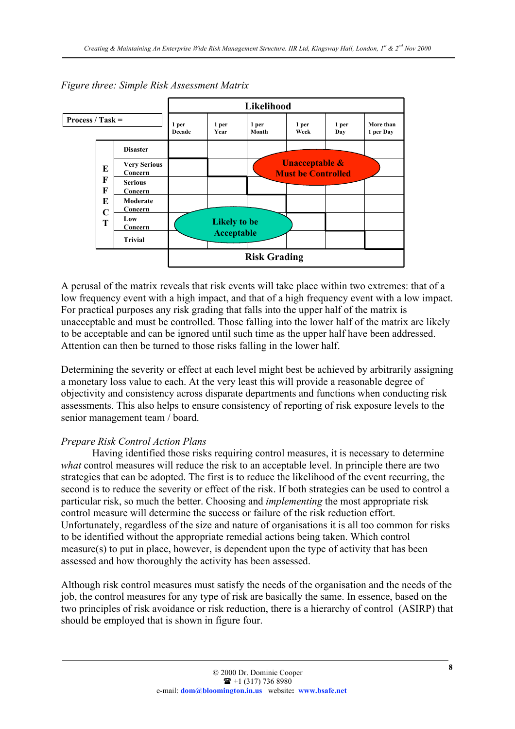

*Figure three: Simple Risk Assessment Matrix*

A perusal of the matrix reveals that risk events will take place within two extremes: that of a low frequency event with a high impact, and that of a high frequency event with a low impact. For practical purposes any risk grading that falls into the upper half of the matrix is unacceptable and must be controlled. Those falling into the lower half of the matrix are likely to be acceptable and can be ignored until such time as the upper half have been addressed. Attention can then be turned to those risks falling in the lower half.

Determining the severity or effect at each level might best be achieved by arbitrarily assigning a monetary loss value to each. At the very least this will provide a reasonable degree of objectivity and consistency across disparate departments and functions when conducting risk assessments. This also helps to ensure consistency of reporting of risk exposure levels to the senior management team / board.

#### *Prepare Risk Control Action Plans*

Having identified those risks requiring control measures, it is necessary to determine *what* control measures will reduce the risk to an acceptable level. In principle there are two strategies that can be adopted. The first is to reduce the likelihood of the event recurring, the second is to reduce the severity or effect of the risk. If both strategies can be used to control a particular risk, so much the better. Choosing and *implementing* the most appropriate risk control measure will determine the success or failure of the risk reduction effort. Unfortunately, regardless of the size and nature of organisations it is all too common for risks to be identified without the appropriate remedial actions being taken. Which control measure(s) to put in place, however, is dependent upon the type of activity that has been assessed and how thoroughly the activity has been assessed.

Although risk control measures must satisfy the needs of the organisation and the needs of the job, the control measures for any type of risk are basically the same. In essence, based on the two principles of risk avoidance or risk reduction, there is a hierarchy of control (ASIRP) that should be employed that is shown in figure four.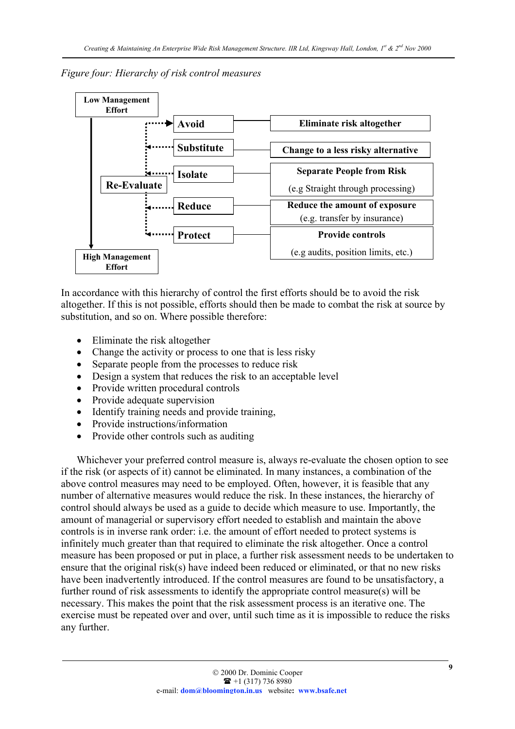## *Figure four: Hierarchy of risk control measures*



In accordance with this hierarchy of control the first efforts should be to avoid the risk altogether. If this is not possible, efforts should then be made to combat the risk at source by substitution, and so on. Where possible therefore:

- Eliminate the risk altogether
- Change the activity or process to one that is less risky
- Separate people from the processes to reduce risk
- Design a system that reduces the risk to an acceptable level
- Provide written procedural controls
- Provide adequate supervision
- Identify training needs and provide training,
- Provide instructions/information
- Provide other controls such as auditing

Whichever your preferred control measure is, always re-evaluate the chosen option to see if the risk (or aspects of it) cannot be eliminated. In many instances, a combination of the above control measures may need to be employed. Often, however, it is feasible that any number of alternative measures would reduce the risk. In these instances, the hierarchy of control should always be used as a guide to decide which measure to use. Importantly, the amount of managerial or supervisory effort needed to establish and maintain the above controls is in inverse rank order: i.e. the amount of effort needed to protect systems is infinitely much greater than that required to eliminate the risk altogether. Once a control measure has been proposed or put in place, a further risk assessment needs to be undertaken to ensure that the original risk(s) have indeed been reduced or eliminated, or that no new risks have been inadvertently introduced. If the control measures are found to be unsatisfactory, a further round of risk assessments to identify the appropriate control measure(s) will be necessary. This makes the point that the risk assessment process is an iterative one. The exercise must be repeated over and over, until such time as it is impossible to reduce the risks any further.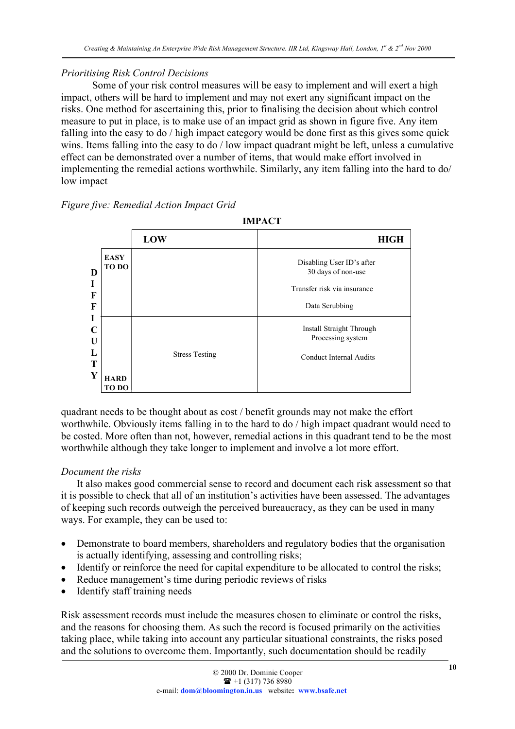## *Prioritising Risk Control Decisions*

Some of your risk control measures will be easy to implement and will exert a high impact, others will be hard to implement and may not exert any significant impact on the risks. One method for ascertaining this, prior to finalising the decision about which control measure to put in place, is to make use of an impact grid as shown in figure five. Any item falling into the easy to do / high impact category would be done first as this gives some quick wins. Items falling into the easy to do / low impact quadrant might be left, unless a cumulative effect can be demonstrated over a number of items, that would make effort involved in implementing the remedial actions worthwhile. Similarly, any item falling into the hard to do/ low impact

*Figure five: Remedial Action Impact Grid*



quadrant needs to be thought about as cost / benefit grounds may not make the effort worthwhile. Obviously items falling in to the hard to do / high impact quadrant would need to be costed. More often than not, however, remedial actions in this quadrant tend to be the most worthwhile although they take longer to implement and involve a lot more effort.

# *Document the risks*

It also makes good commercial sense to record and document each risk assessment so that it is possible to check that all of an institution's activities have been assessed. The advantages of keeping such records outweigh the perceived bureaucracy, as they can be used in many ways. For example, they can be used to:

- Demonstrate to board members, shareholders and regulatory bodies that the organisation is actually identifying, assessing and controlling risks;
- Identify or reinforce the need for capital expenditure to be allocated to control the risks;
- Reduce management's time during periodic reviews of risks
- Identify staff training needs

Risk assessment records must include the measures chosen to eliminate or control the risks, and the reasons for choosing them. As such the record is focused primarily on the activities taking place, while taking into account any particular situational constraints, the risks posed and the solutions to overcome them. Importantly, such documentation should be readily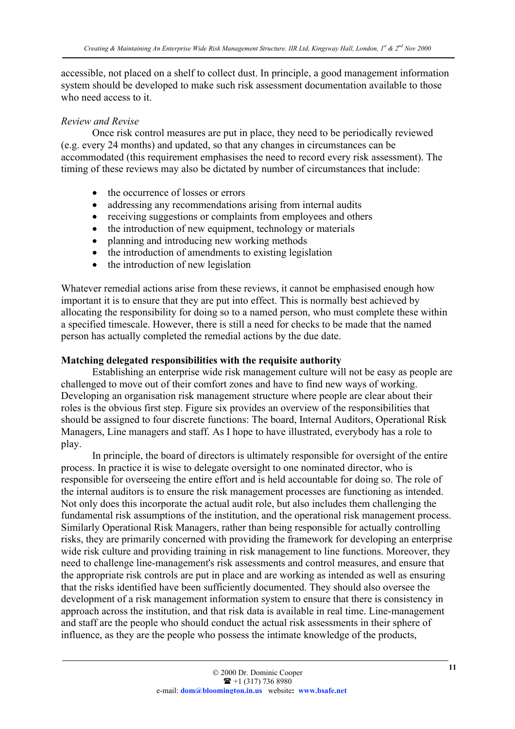accessible, not placed on a shelf to collect dust. In principle, a good management information system should be developed to make such risk assessment documentation available to those who need access to it.

### *Review and Revise*

Once risk control measures are put in place, they need to be periodically reviewed (e.g. every 24 months) and updated, so that any changes in circumstances can be accommodated (this requirement emphasises the need to record every risk assessment). The timing of these reviews may also be dictated by number of circumstances that include:

- the occurrence of losses or errors
- addressing any recommendations arising from internal audits
- receiving suggestions or complaints from employees and others
- the introduction of new equipment, technology or materials
- planning and introducing new working methods
- the introduction of amendments to existing legislation
- the introduction of new legislation

Whatever remedial actions arise from these reviews, it cannot be emphasised enough how important it is to ensure that they are put into effect. This is normally best achieved by allocating the responsibility for doing so to a named person, who must complete these within a specified timescale. However, there is still a need for checks to be made that the named person has actually completed the remedial actions by the due date.

## Matching delegated responsibilities with the requisite authority

Establishing an enterprise wide risk management culture will not be easy as people are challenged to move out of their comfort zones and have to find new ways of working. Developing an organisation risk management structure where people are clear about their roles is the obvious first step. Figure six provides an overview of the responsibilities that should be assigned to four discrete functions: The board, Internal Auditors, Operational Risk Managers, Line managers and staff. As I hope to have illustrated, everybody has a role to play.

In principle, the board of directors is ultimately responsible for oversight of the entire process. In practice it is wise to delegate oversight to one nominated director, who is responsible for overseeing the entire effort and is held accountable for doing so. The role of the internal auditors is to ensure the risk management processes are functioning as intended. Not only does this incorporate the actual audit role, but also includes them challenging the fundamental risk assumptions of the institution, and the operational risk management process. Similarly Operational Risk Managers, rather than being responsible for actually controlling risks, they are primarily concerned with providing the framework for developing an enterprise wide risk culture and providing training in risk management to line functions. Moreover, they need to challenge line-management's risk assessments and control measures, and ensure that the appropriate risk controls are put in place and are working as intended as well as ensuring that the risks identified have been sufficiently documented. They should also oversee the development of a risk management information system to ensure that there is consistency in approach across the institution, and that risk data is available in real time. Line-management and staff are the people who should conduct the actual risk assessments in their sphere of influence, as they are the people who possess the intimate knowledge of the products,